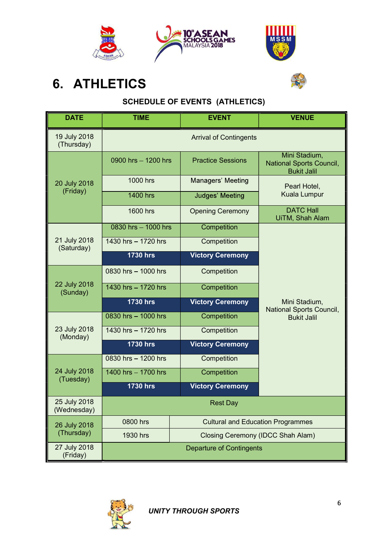



# 6. ATHLETICS

# SCHEDULE OF EVENTS (ATHLETICS)

| <b>DATE</b>                 | <b>TIME</b>         | <b>EVENT</b>                             | <b>VENUE</b>                                                           |  |
|-----------------------------|---------------------|------------------------------------------|------------------------------------------------------------------------|--|
| 19 July 2018<br>(Thursday)  |                     | <b>Arrival of Contingents</b>            |                                                                        |  |
|                             | 0900 hrs - 1200 hrs | <b>Practice Sessions</b>                 | Mini Stadium,<br><b>National Sports Council,</b><br><b>Bukit Jalil</b> |  |
| 20 July 2018                | 1000 hrs            | Managers' Meeting                        | Pearl Hotel,<br><b>Kuala Lumpur</b>                                    |  |
| (Friday)                    | 1400 hrs            | Judges' Meeting                          |                                                                        |  |
|                             | 1600 hrs            | <b>Opening Ceremony</b>                  | <b>DATC Hall</b><br>UiTM, Shah Alam                                    |  |
|                             | 0830 hrs - 1000 hrs | Competition                              | Mini Stadium,<br>National Sports Council,                              |  |
| 21 July 2018<br>(Saturday)  | 1430 hrs - 1720 hrs | Competition                              |                                                                        |  |
|                             | <b>1730 hrs</b>     | <b>Victory Ceremony</b>                  |                                                                        |  |
|                             | 0830 hrs - 1000 hrs | Competition                              |                                                                        |  |
| 22 July 2018<br>(Sunday)    | 1430 hrs - 1720 hrs | Competition                              |                                                                        |  |
|                             | <b>1730 hrs</b>     | <b>Victory Ceremony</b>                  |                                                                        |  |
|                             | 0830 hrs - 1000 hrs | Competition                              | <b>Bukit Jalil</b>                                                     |  |
| 23 July 2018<br>(Monday)    | 1430 hrs - 1720 hrs | Competition                              |                                                                        |  |
|                             | <b>1730 hrs</b>     | <b>Victory Ceremony</b>                  |                                                                        |  |
|                             | 0830 hrs - 1200 hrs | Competition                              |                                                                        |  |
| 24 July 2018<br>(Tuesday)   | 1400 hrs - 1700 hrs | Competition                              |                                                                        |  |
|                             | <b>1730 hrs</b>     | <b>Victory Ceremony</b>                  |                                                                        |  |
| 25 July 2018<br>(Wednesday) |                     | <b>Rest Day</b>                          |                                                                        |  |
| 26 July 2018                | 0800 hrs            | <b>Cultural and Education Programmes</b> |                                                                        |  |
| (Thursday)                  | 1930 hrs            | <b>Closing Ceremony (IDCC Shah Alam)</b> |                                                                        |  |
| 27 July 2018<br>(Friday)    |                     | <b>Departure of Contingents</b>          |                                                                        |  |

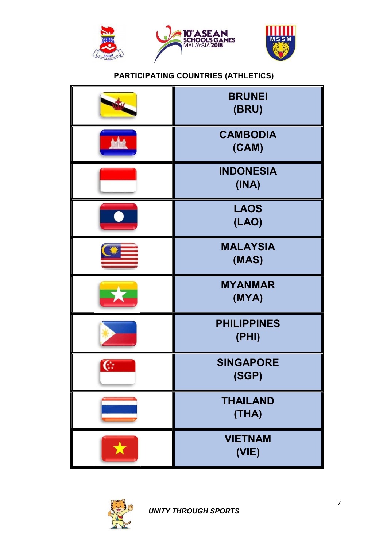





#### PARTICIPATING COUNTRIES (ATHLETICS)

| <b>BRUNEI</b><br>(BRU)      |
|-----------------------------|
| <b>CAMBODIA</b><br>(CAM)    |
| <b>INDONESIA</b><br>(INA)   |
| <b>LAOS</b><br>(LAO)        |
| <b>MALAYSIA</b><br>(MAS)    |
| <b>MYANMAR</b><br>(MYA)     |
| <b>PHILIPPINES</b><br>(PHI) |
| <b>SINGAPORE</b><br>(SGP)   |
| <b>THAILAND</b><br>(THA)    |
| <b>VIETNAM</b><br>(VIE)     |

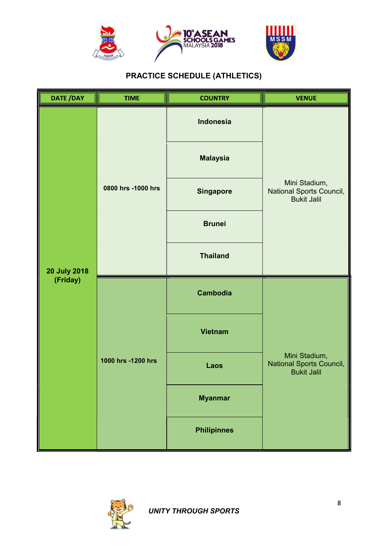





### PRACTICE SCHEDULE (ATHLETICS)

| DATE /DAY                       | <b>TIME</b>        | <b>COUNTRY</b>     | <b>VENUE</b>                                                    |  |
|---------------------------------|--------------------|--------------------|-----------------------------------------------------------------|--|
|                                 |                    | Indonesia          |                                                                 |  |
| <b>20 July 2018</b><br>(Friday) | 0800 hrs -1000 hrs | <b>Malaysia</b>    | Mini Stadium,<br>National Sports Council,<br>Bukit Jalil        |  |
|                                 |                    | <b>Singapore</b>   |                                                                 |  |
|                                 |                    | <b>Brunei</b>      |                                                                 |  |
|                                 |                    | <b>Thailand</b>    |                                                                 |  |
|                                 | 1000 hrs -1200 hrs | <b>Cambodia</b>    |                                                                 |  |
|                                 |                    | <b>Vietnam</b>     | Mini Stadium,<br>National Sports Council,<br><b>Bukit Jalil</b> |  |
|                                 |                    | Laos               |                                                                 |  |
|                                 |                    | <b>Myanmar</b>     |                                                                 |  |
|                                 |                    | <b>Philipinnes</b> |                                                                 |  |

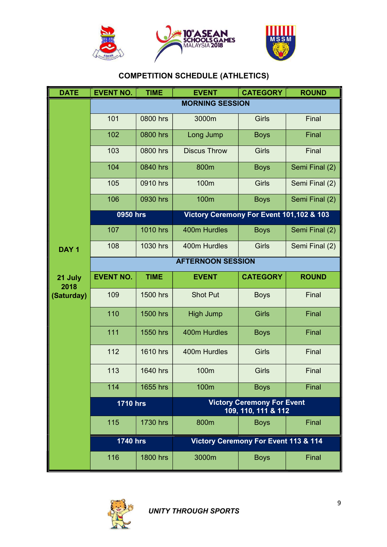





### COMPETITION SCHEDULE (ATHLETICS)

| <b>DATE</b>      | <b>EVENT NO.</b> | <b>TIME</b>            | <b>EVENT</b>                             | <b>CATEGORY</b>                                          | <b>ROUND</b>   |  |
|------------------|------------------|------------------------|------------------------------------------|----------------------------------------------------------|----------------|--|
|                  |                  | <b>MORNING SESSION</b> |                                          |                                                          |                |  |
|                  | 101              | 0800 hrs               | 3000m                                    | Girls                                                    | Final          |  |
|                  | 102              | 0800 hrs               | Long Jump                                | <b>Boys</b>                                              | Final          |  |
|                  | 103              | 0800 hrs               | <b>Discus Throw</b>                      | <b>Girls</b>                                             | Final          |  |
|                  | 104              | 0840 hrs               | 800m                                     | <b>Boys</b>                                              | Semi Final (2) |  |
|                  | 105              | 0910 hrs               | 100m                                     | <b>Girls</b>                                             | Semi Final (2) |  |
|                  | 106              | 0930 hrs               | 100m                                     | <b>Boys</b>                                              | Semi Final (2) |  |
|                  | 0950 hrs         |                        | Victory Ceremony For Event 101,102 & 103 |                                                          |                |  |
|                  | 107              | 1010 hrs               | 400m Hurdles                             | <b>Boys</b>                                              | Semi Final (2) |  |
| DAY <sub>1</sub> | 108              | 1030 hrs               | 400m Hurdles                             | Girls                                                    | Semi Final (2) |  |
|                  |                  |                        | <b>AFTERNOON SESSION</b>                 |                                                          |                |  |
| 21 July<br>2018  | <b>EVENT NO.</b> | <b>TIME</b>            | <b>EVENT</b>                             | <b>CATEGORY</b>                                          | <b>ROUND</b>   |  |
| (Saturday)       | 109              | 1500 hrs               | <b>Shot Put</b>                          | <b>Boys</b>                                              | Final          |  |
|                  | 110              | 1500 hrs               | <b>High Jump</b>                         | <b>Girls</b>                                             | Final          |  |
|                  | 111              | 1550 hrs               | 400m Hurdles                             | <b>Boys</b>                                              | Final          |  |
|                  | 112              | 1610 hrs               | 400m Hurdles                             | Girls                                                    | Final          |  |
|                  | 113              | 1640 hrs               | 100m                                     | Girls                                                    | Final          |  |
|                  | 114              | 1655 hrs               | 100m                                     | <b>Boys</b>                                              | Final          |  |
|                  | <b>1710 hrs</b>  |                        |                                          | <b>Victory Ceremony For Event</b><br>109, 110, 111 & 112 |                |  |
|                  | 115              | 1730 hrs               | 800m                                     | <b>Boys</b>                                              | Final          |  |
|                  | <b>1740 hrs</b>  |                        |                                          | Victory Ceremony For Event 113 & 114                     |                |  |
|                  | 116              | 1800 hrs               | 3000m                                    | <b>Boys</b>                                              | Final          |  |

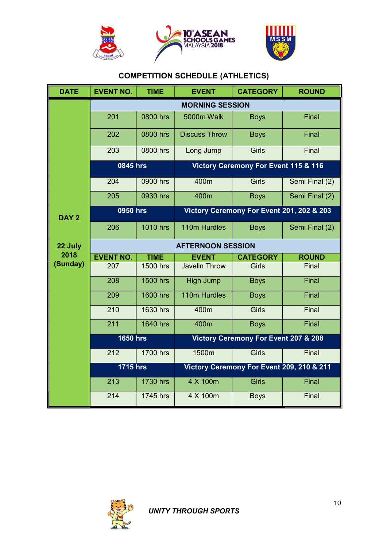





### COMPETITION SCHEDULE (ATHLETICS)

| <b>DATE</b>      | <b>EVENT NO.</b>         | <b>TIME</b>     | <b>EVENT</b>                              | <b>CATEGORY</b>                                 | <b>ROUND</b>   |
|------------------|--------------------------|-----------------|-------------------------------------------|-------------------------------------------------|----------------|
|                  |                          |                 | <b>MORNING SESSION</b>                    |                                                 |                |
|                  | 201                      | 0800 hrs        | 5000m Walk                                | <b>Boys</b>                                     | Final          |
|                  | 202                      | 0800 hrs        | <b>Discuss Throw</b>                      | <b>Boys</b>                                     | Final          |
|                  | 203                      | 0800 hrs        | Long Jump                                 | <b>Girls</b>                                    | Final          |
|                  | 0845 hrs                 |                 | Victory Ceremony For Event 115 & 116      |                                                 |                |
|                  | 204                      | 0900 hrs        | 400m                                      | <b>Girls</b>                                    | Semi Final (2) |
|                  | 205                      | 0930 hrs        | 400m                                      | <b>Boys</b>                                     | Semi Final (2) |
| DAY <sub>2</sub> | 0950 hrs                 |                 | Victory Ceremony For Event 201, 202 & 203 |                                                 |                |
|                  | 206                      | 1010 hrs        | 110m Hurdles                              | <b>Boys</b>                                     | Semi Final (2) |
| 22 July          | <b>AFTERNOON SESSION</b> |                 |                                           |                                                 |                |
| 2018             | <b>EVENT NO.</b>         | <b>TIME</b>     | <b>EVENT</b>                              | <b>CATEGORY</b>                                 | <b>ROUND</b>   |
| (Sunday)         | 207                      | 1500 hrs        | <b>Javelin Throw</b>                      | <b>Girls</b>                                    | Final          |
|                  | 208                      | 1500 hrs        | High Jump                                 | <b>Boys</b>                                     | Final          |
|                  | 209                      | <b>1600 hrs</b> | 110m Hurdles                              | <b>Boys</b>                                     | Final          |
|                  | 210                      | 1630 hrs        | 400m                                      | <b>Girls</b>                                    | Final          |
|                  | 211                      | 1640 hrs        | 400m                                      | <b>Boys</b>                                     | Final          |
|                  | <b>1650 hrs</b>          |                 |                                           | <b>Victory Ceremony For Event 207 &amp; 208</b> |                |
|                  | 212                      | 1700 hrs        | 1500m                                     | <b>Girls</b>                                    | Final          |
|                  | <b>1715 hrs</b>          |                 | Victory Ceremony For Event 209, 210 & 211 |                                                 |                |
|                  | 213                      | 1730 hrs        | 4 X 100m                                  | <b>Girls</b>                                    | Final          |
|                  | 214                      | 1745 hrs        | 4 X 100m                                  | <b>Boys</b>                                     | Final          |

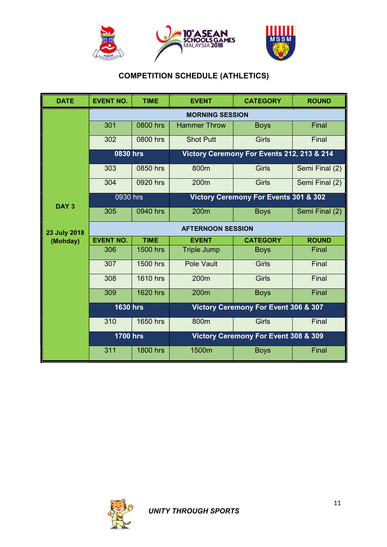

## COMPETITION SCHEDULE (ATHLETICS)

| <b>DATE</b>      | <b>EVENT NO.</b>       | <b>TIME</b>     | <b>EVENT</b>                         | <b>CATEGORY</b>                            | <b>ROUND</b>   |
|------------------|------------------------|-----------------|--------------------------------------|--------------------------------------------|----------------|
|                  | <b>MORNING SESSION</b> |                 |                                      |                                            |                |
|                  | 301                    | 0800 hrs        | <b>Hammer Throw</b>                  | <b>Boys</b>                                | Final          |
|                  | 302                    | 0800 hrs        | <b>Shot Putt</b>                     | <b>Girls</b>                               | Final          |
|                  | 0830 hrs               |                 |                                      | Victory Ceremony For Events 212, 213 & 214 |                |
|                  | 303                    | 0850 hrs        | 800m                                 | <b>Girls</b>                               | Semi Final (2) |
|                  | 304                    | 0920 hrs        | 200m                                 | <b>Girls</b>                               | Semi Final (2) |
|                  | 0930 hrs               |                 |                                      | Victory Ceremony For Events 301 & 302      |                |
| DAY <sub>3</sub> | 305                    | 0940 hrs        | 200m                                 | <b>Boys</b>                                | Semi Final (2) |
| 23 July 2018     |                        |                 | <b>AFTERNOON SESSION</b>             |                                            |                |
| (Mohday)         | <b>EVENT NO.</b>       | <b>TIME</b>     | <b>EVENT</b>                         | <b>CATEGORY</b>                            | <b>ROUND</b>   |
|                  | 306                    | 1500 hrs        | <b>Triple Jump</b>                   | <b>Boys</b>                                | Final          |
|                  | 307                    | 1500 hrs        | Pole Vault                           | <b>Girls</b>                               | Final          |
|                  | 308                    | 1610 hrs        | 200m                                 | <b>Girls</b>                               | Final          |
|                  | 309                    | <b>1620 hrs</b> | 200 <sub>m</sub>                     | <b>Boys</b>                                | Final          |
|                  | <b>1630 hrs</b>        |                 |                                      | Victory Ceremony For Event 306 & 307       |                |
|                  | 310                    | 1650 hrs        | 800m                                 | <b>Girls</b>                               | Final          |
|                  | <b>1700 hrs</b>        |                 | Victory Ceremony For Event 308 & 309 |                                            |                |
|                  | 311                    | <b>1800 hrs</b> | 1500m                                | <b>Boys</b>                                | Final          |